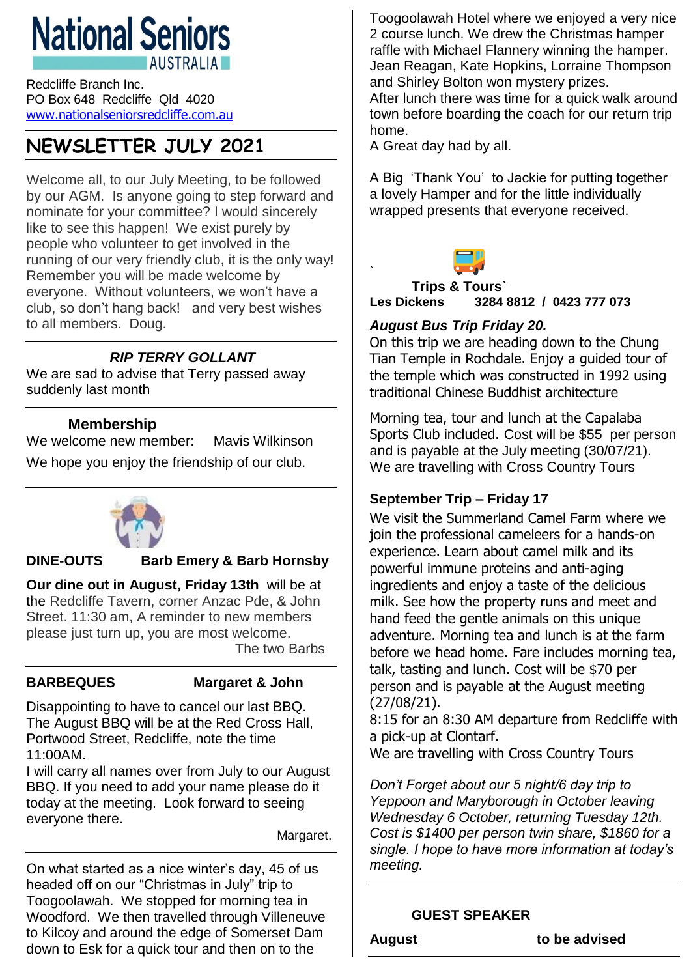# **National Seniors AUSTRALIA**

Redcliffe Branch Inc. PO Box 648 Redcliffe Qld 4020 [www.nationalseniorsredcliffe.com.au](http://www.nationalseniorsredcliffe.com.au/)

## **NEWSLETTER JULY 2021**

Welcome all, to our July Meeting, to be followed by our AGM. Is anyone going to step forward and nominate for your committee? I would sincerely like to see this happen! We exist purely by people who volunteer to get involved in the running of our very friendly club, it is the only way! Remember you will be made welcome by everyone. Without volunteers, we won't have a club, so don't hang back! and very best wishes to all members. Doug.

#### *RIP TERRY GOLLANT*

We are sad to advise that Terry passed away suddenly last month

#### **Membership**

We welcome new member: Mavis Wilkinson We hope you enjoy the friendship of our club.



## **DINE-OUTS Barb Emery & Barb Hornsby**

**Our dine out in August, Friday 13th** will be at the Redcliffe Tavern, corner Anzac Pde, & John Street. 11:30 am, A reminder to new members please just turn up, you are most welcome. The two Barbs

## **BARBEQUES Margaret & John**

Disappointing to have to cancel our last BBQ. The August BBQ will be at the Red Cross Hall, Portwood Street, Redcliffe, note the time 11:00AM.

I will carry all names over from July to our August BBQ. If you need to add your name please do it today at the meeting. Look forward to seeing everyone there.

Margaret.

On what started as a nice winter's day, 45 of us headed off on our "Christmas in July" trip to Toogoolawah. We stopped for morning tea in Woodford. We then travelled through Villeneuve to Kilcoy and around the edge of Somerset Dam down to Esk for a quick tour and then on to the

Toogoolawah Hotel where we enjoyed a very nice 2 course lunch. We drew the Christmas hamper raffle with Michael Flannery winning the hamper. Jean Reagan, Kate Hopkins, Lorraine Thompson and Shirley Bolton won mystery prizes.

After lunch there was time for a quick walk around town before boarding the coach for our return trip home.

A Great day had by all.

A Big 'Thank You' to Jackie for putting together a lovely Hamper and for the little individually wrapped presents that everyone received.



` **Trips & Tours` Les Dickens 3284 8812 / 0423 777 073**

#### *August Bus Trip Friday 20.*

On this trip we are heading down to the Chung Tian Temple in Rochdale. Enjoy a guided tour of the temple which was constructed in 1992 using traditional Chinese Buddhist architecture

Morning tea, tour and lunch at the Capalaba Sports Club included. Cost will be \$55 per person and is payable at the July meeting (30/07/21). We are travelling with Cross Country Tours

## **September Trip – Friday 17**

We visit the Summerland Camel Farm where we join the professional cameleers for a hands-on experience. Learn about camel milk and its powerful immune proteins and anti-aging ingredients and enjoy a taste of the delicious milk. See how the property runs and meet and hand feed the gentle animals on this unique adventure. Morning tea and lunch is at the farm before we head home. Fare includes morning tea, talk, tasting and lunch. Cost will be \$70 per person and is payable at the August meeting (27/08/21).

8:15 for an 8:30 AM departure from Redcliffe with a pick-up at Clontarf.

We are travelling with Cross Country Tours

*Don't Forget about our 5 night/6 day trip to Yeppoon and Maryborough in October leaving Wednesday 6 October, returning Tuesday 12th. Cost is \$1400 per person twin share, \$1860 for a single. I hope to have more information at today's meeting.*

#### **GUEST SPEAKER**

**August to be advised**